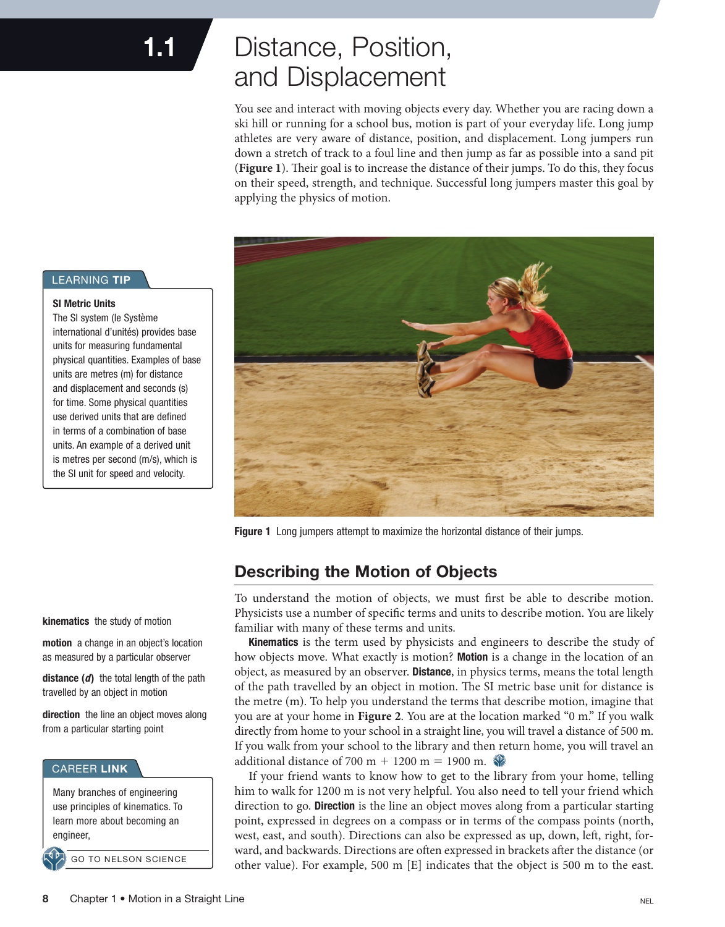# 1.1 Distance, Position, and Displacement

You see and interact with moving objects every day. Whether you are racing down a ski hill or running for a school bus, motion is part of your everyday life. Long jump athletes are very aware of distance, position, and displacement. Long jumpers run down a stretch of track to a foul line and then jump as far as possible into a sand pit (**Figure 1**). Their goal is to increase the distance of their jumps. To do this, they focus on their speed, strength, and technique. Successful long jumpers master this goal by applying the physics of motion.



**Figure 1** Long jumpers attempt to maximize the horizontal distance of their jumps.

## Describing the Motion of Objects

To understand the motion of objects, we must first be able to describe motion. Physicists use a number of specific terms and units to describe motion. You are likely familiar with many of these terms and units.

Kinematics is the term used by physicists and engineers to describe the study of how objects move. What exactly is motion? **Motion** is a change in the location of an object, as measured by an observer. Distance, in physics terms, means the total length of the path travelled by an object in motion. The SI metric base unit for distance is the metre (m). To help you understand the terms that describe motion, imagine that you are at your home in **Figure 2**. You are at the location marked "0 m." If you walk directly from home to your school in a straight line, you will travel a distance of 500 m. If you walk from your school to the library and then return home, you will travel an additional distance of 700 m + 1200 m = 1900 m.

If your friend wants to know how to get to the library from your home, telling him to walk for 1200 m is not very helpful. You also need to tell your friend which direction to go. **Direction** is the line an object moves along from a particular starting point, expressed in degrees on a compass or in terms of the compass points (north, west, east, and south). Directions can also be expressed as up, down, left, right, forward, and backwards. Directions are often expressed in brackets after the distance (or other value). For example, 500 m [E] indicates that the object is 500 m to the east.

#### LEARNING TIP

#### SI Metric Units

The SI system (le Système international d'unités) provides base units for measuring fundamental physical quantities. Examples of base units are metres (m) for distance and displacement and seconds (s) for time. Some physical quantities use derived units that are defined in terms of a combination of base units. An example of a derived unit is metres per second (m/s), which is the SI unit for speed and velocity.

kinematics the study of motion

motion a change in an object's location as measured by a particular observer

distance (*d*) the total length of the path travelled by an object in motion

direction the line an object moves along from a particular starting point

#### **CAREER LINK**

Many branches of engineering use principles of kinematics. To learn more about becoming an engineer,

go to nelson science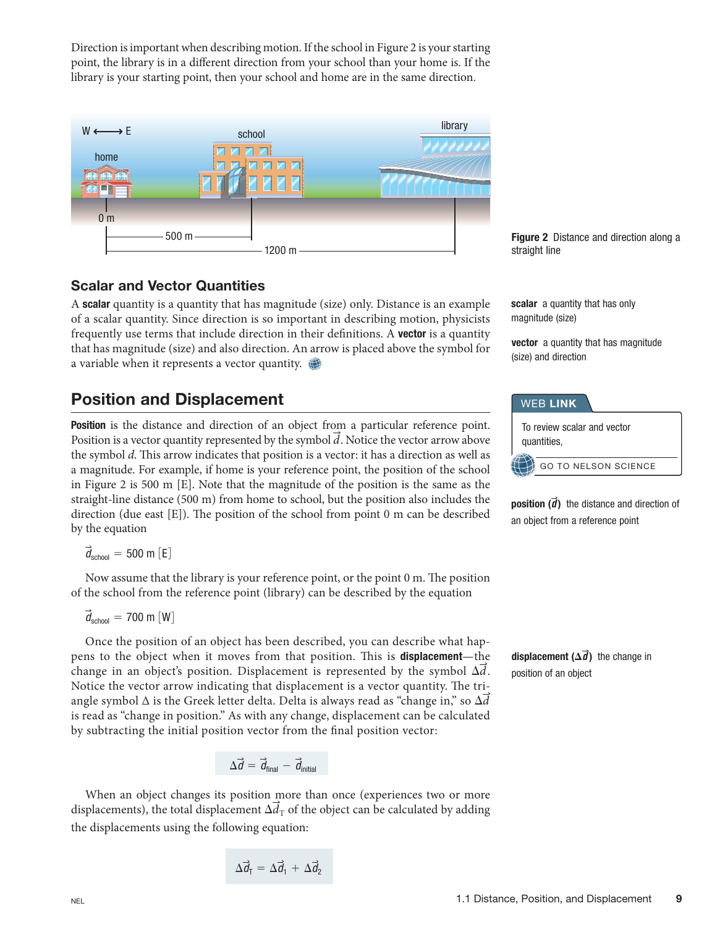Direction is important when describing motion. If the school in Figure 2 is your starting point, the library is in a different direction from your school than your home is. If the library is your starting point, then your school and home are in the same direction.



#### Scalar and vector Quantities

A scalar quantity is a quantity that has magnitude (size) only. Distance is an example of a scalar quantity. Since direction is so important in describing motion, physicists frequently use terms that include direction in their definitions. A **vector** is a quantity that has magnitude (size) and also direction. An arrow is placed above the symbol for a variable when it represents a vector quantity.

## **Position and Displacement**

Position is the distance and direction of an object from a particular reference point. Position is a vector quantity represented by the symbol *d* . Notice the vector arrow above r<br>→ the symbol *d*. This arrow indicates that position is a vector: it has a direction as well as a magnitude. For example, if home is your reference point, the position of the school in Figure 2 is 500 m [E]. Note that the magnitude of the position is the same as the straight-line distance (500 m) from home to school, but the position also includes the direction (due east  $[E]$ ). The position of the school from point 0 m can be described by the equation

 $d_{\rm school} = 500$  m  $\left[$  E $\right]$ >

Now assume that the library is your reference point, or the point  $0$  m. The position of the school from the reference point (library) can be described by the equation

$$
\vec{d}_{\text{school}} = 700 \text{ m} \text{ [W]}
$$

Once the position of an object has been described, you can describe what happens to the object when it moves from that position. This is **displacement**—the change in an object's position. Displacement is represented by the symbol  $\Delta d$ . > Notice the vector arrow indicating that displacement is a vector quantity. The triangle symbol ∆ is the Greek letter delta. Delta is always read as "change in," so D*d* ;<br>→ is read as "change in position." As with any change, displacement can be calculated by subtracting the initial position vector from the final position vector:

$$
\Delta \vec{d} = \vec{d}_{\text{final}} - \vec{d}_{\text{initial}}
$$

When an object changes its position more than once (experiences two or more displacements), the total displacement  $\Delta d_{\rm T}$  of the object can be calculated by adding > the displacements using the following equation:

$$
\Delta \vec{d}_T = \Delta \vec{d}_1 + \Delta \vec{d}_2
$$

**Figure 2** Distance and direction along a straight line

scalar a quantity that has only magnitude (size)

**vector** a quantity that has magnitude (size) and direction

| <b>WEB LINK</b>                            |  |
|--------------------------------------------|--|
| To review scalar and vector<br>quantities. |  |
| <b>GO TO NELSON SCIENCE</b>                |  |

position (*d* ) the distance and direction of > an object from a reference point

displacement  $(\Delta d)$  the change in > position of an object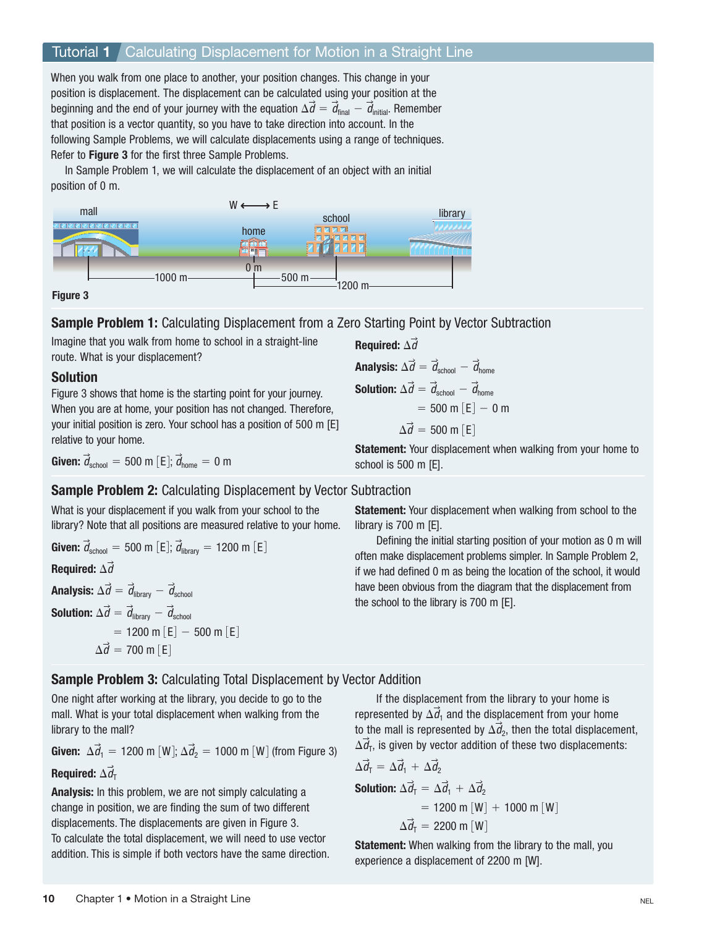When you walk from one place to another, your position changes. This change in your position is displacement. The displacement can be calculated using your position at the beginning and the end of your journey with the equation  $\Delta\acute{d}$  =  $\acute{d}_{\rm final}$  –  $\acute{d}_{\rm initial}$ . Remember > !<br>→ > that position is a vector quantity, so you have to take direction into account. In the following Sample Problems, we will calculate displacements using a range of techniques. Refer to Figure 3 for the first three Sample Problems.

 In Sample Problem 1, we will calculate the displacement of an object with an initial position of 0 m.





## **Sample Problem 1:** Calculating Displacement from a Zero Starting Point by Vector Subtraction

Imagine that you walk from home to school in a straight-line route. What is your displacement?

#### Solution

Figure 3 shows that home is the starting point for your journey. When you are at home, your position has not changed. Therefore, your initial position is zero. Your school has a position of 500 m [E] relative to your home.

**Required:** 
$$
\Delta \vec{d}
$$
\n**Analysis:**  $\Delta \vec{d} = \vec{d}_{\text{school}} - \vec{d}_{\text{home}}$ \n**Solution:**  $\Delta \vec{d} = \vec{d}_{\text{school}} - \vec{d}_{\text{home}}$ \n $= 500 \text{ m} \, [\text{E}] - 0 \text{ m}$ \n $\Delta \vec{d} = 500 \text{ m} \, [\text{E}]$ 

Statement: Your displacement when walking from your home to school is 500 m [E].

**Given:**  $\dot{d}_{\rm school} = 500$  m [E];  $\dot{d}_{\rm home} = 0$  m > >

## **Sample Problem 2: Calculating Displacement by Vector Subtraction**

What is your displacement if you walk from your school to the library? Note that all positions are measured relative to your home.

Given: 
$$
\vec{d}_{\text{school}} = 500 \text{ m [E]}; \vec{d}_{\text{library}} = 1200 \text{ m [E]}
$$
  
\n**Required:**  $\Delta \vec{d}$   
\n**Analysis:**  $\Delta \vec{d} = \vec{d}_{\text{library}} - \vec{d}_{\text{school}}$   
\n**Solution:**  $\Delta \vec{d} = \vec{d}_{\text{library}} - \vec{d}_{\text{school}}$   
\n= 1200 m [E] - 500 m [E]  
\n $\Delta \vec{d} = 700 \text{ m [E]}$ 

Statement: Your displacement when walking from school to the library is 700 m [E].

Defining the initial starting position of your motion as 0 m will often make displacement problems simpler. In Sample Problem 2, if we had defined 0 m as being the location of the school, it would have been obvious from the diagram that the displacement from the school to the library is 700 m [E].

#### **Sample Problem 3: Calculating Total Displacement by Vector Addition**

One night after working at the library, you decide to go to the mall. What is your total displacement when walking from the library to the mall?

**Given:**  $\Delta d_1 = 1200$  m [W];  $\Delta d_2 = 1000$  m [W] (from Figure 3) > > Required:  $\Delta d_{\rm T}$ >

Analysis: In this problem, we are not simply calculating a change in position, we are finding the sum of two different displacements. The displacements are given in Figure 3. To calculate the total displacement, we will need to use vector addition. This is simple if both vectors have the same direction.

If the displacement from the library to your home is represented by  $\Delta d_1$  and the displacement from your home ;<br>> to the mall is represented by  $\Delta d_2$ , then the total displacement, )<br>→  $\Delta \vec{d}_{\textsf{T}}$ , is given by vector addition of these two displacements: י<br>≺

$$
\Delta \vec{d}_{\text{T}} = \Delta \vec{d}_1 + \Delta \vec{d}_2
$$
  
\nSolution: 
$$
\Delta \vec{d}_{\text{T}} = \Delta \vec{d}_1 + \Delta \vec{d}_2
$$
  
\n= 1200 m [W] + 1000 m [W]  
\n
$$
\Delta \vec{d}_{\text{T}} = 2200 \text{ m} [W]
$$

>

>

>

Statement: When walking from the library to the mall, you experience a displacement of 2200 m [W].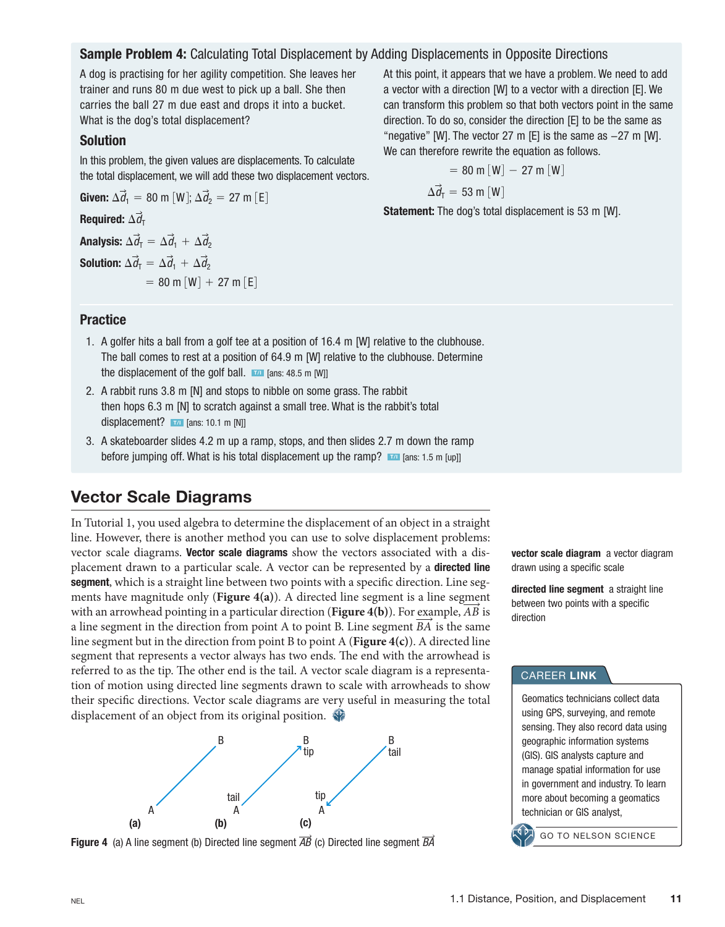#### **Sample Problem 4:** Calculating Total Displacement by Adding Displacements in Opposite Directions

A dog is practising for her agility competition. She leaves her trainer and runs 80 m due west to pick up a ball. She then carries the ball 27 m due east and drops it into a bucket. What is the dog's total displacement?

## Solution

In this problem, the given values are displacements. To calculate the total displacement, we will add these two displacement vectors.

**Given:**  $\Delta \dot{d}_1 = 80$  m [W];  $\Delta \dot{d}_2 = 27$  m [E] > >

Required:  $\Delta \vec{d}_{\text{T}}$ >

Analysis:  $\Delta \vec{d}_{\textsf{T}} = \Delta \vec{d}_1 + \Delta \vec{d}_2$ > > > Solution:  $\Delta \vec{d}_{\textsf{T}} = \Delta \vec{d}_1 + \Delta \vec{d}_2$ > > >  $= 80 \text{ m } [W] + 27 \text{ m } [E]$ 

## **Practice**

- 1. A golfer hits a ball from a golf tee at a position of 16.4 m [W] relative to the clubhouse. The ball comes to rest at a position of 64.9 m [W] relative to the clubhouse. Determine the displacement of the golf ball.  $\Box$  [ans: 48.5 m [W]]
- 2. A rabbit runs 3.8 m [N] and stops to nibble on some grass. The rabbit then hops 6.3 m [N] to scratch against a small tree. What is the rabbit's total displacement?  $\blacksquare$  [ans: 10.1 m [N]]
- 3. A skateboarder slides 4.2 m up a ramp, stops, and then slides 2.7 m down the ramp before jumping off. What is his total displacement up the ramp?  $\blacksquare$  [ans: 1.5 m [up]]

# Vector Scale Diagrams

In Tutorial 1, you used algebra to determine the displacement of an object in a straight line. However, there is another method you can use to solve displacement problems: vector scale diagrams. Vector scale diagrams show the vectors associated with a displacement drawn to a particular scale. A vector can be represented by a directed line segment, which is a straight line between two points with a specific direction. Line segments have magnitude only (**Figure 4(a)**). A directed line segment is a line segment ments nave magnitude only (**rigure 4(a)**). A directed line segment is a line segment<br>with an arrowhead pointing in a particular direction (**Figure 4(b)**). For example,  $\overrightarrow{AB}$  is with an arrownead pointing in a particular direction (Figure 4(b)). For <u>exa</u>mple, *AB* is a line segment in the direction from point A to point B. Line segment  $\overrightarrow{BA}$  is the same line segment but in the direction from point B to point A (**Figure 4(c)**). A directed line segment that represents a vector always has two ends. The end with the arrowhead is referred to as the tip. The other end is the tail. A vector scale diagram is a representation of motion using directed line segments drawn to scale with arrowheads to show their specific directions. Vector scale diagrams are very useful in measuring the total displacement of an object from its original position.



Figure 4 (a) A line segment (b) Directed line segment *AB* (c) Directed line segment *BA*<sup>&</sup>gt;

At this point, it appears that we have a problem. We need to add a vector with a direction [W] to a vector with a direction [E]. We can transform this problem so that both vectors point in the same direction. To do so, consider the direction [E] to be the same as "negative" [W]. The vector 27 m [E] is the same as −27 m [W]. We can therefore rewrite the equation as follows.

$$
= 80 \text{ m }[W] - 27 \text{ m }[W]
$$

$$
\Delta \vec{d}_{\text{T}} = 53 \text{ m} \left[ \text{W} \right]
$$

Statement: The dog's total displacement is 53 m [W].

vector scale diagram a vector diagram drawn using a specific scale

directed line segment a straight line between two points with a specific direction

#### **CAREER LINK**

Geomatics technicians collect data using GPS, surveying, and remote sensing. They also record data using geographic information systems (GIS). GIS analysts capture and manage spatial information for use in government and industry. To learn more about becoming a geomatics technician or GIS analyst,

go to nelson science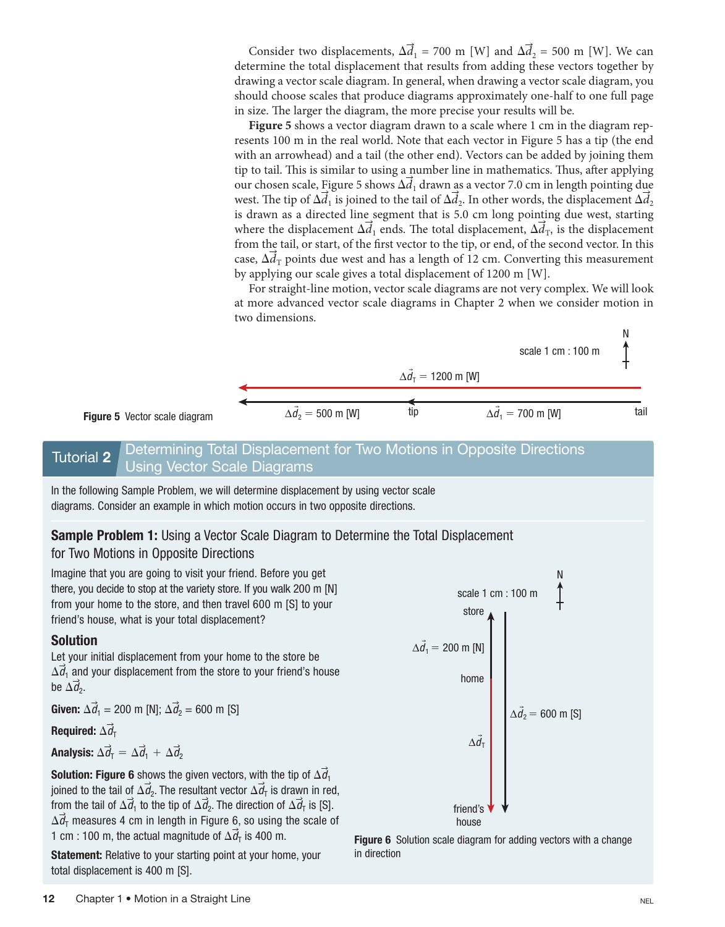Consider two displacements,  $\Delta d_1 = 700$  m [W] and  $\Delta d_2 = 500$  m [W]. We can > > determine the total displacement that results from adding these vectors together by drawing a vector scale diagram. In general, when drawing a vector scale diagram, you should choose scales that produce diagrams approximately one-half to one full page in size. The larger the diagram, the more precise your results will be.

**Figure 5** shows a vector diagram drawn to a scale where 1 cm in the diagram represents 100 m in the real world. Note that each vector in Figure 5 has a tip (the end with an arrowhead) and a tail (the other end). Vectors can be added by joining them tip to tail. This is similar to using a number line in mathematics. Thus, after applying our chosen scale, Figure 5 shows  $\Delta d_1$  drawn as a vector 7.0 cm in length pointing due r<br>≩ west. The tip of  $\Delta d_1$  is joined to the tail of  $\Delta d_2$ . In other words, the displacement  $\Delta d_2$ > > > is drawn as a directed line segment that is 5.0 cm long pointing due west, starting where the displacement  $\Delta \dot{d}_1$  ends. The total displacement,  $\Delta \dot{d}_T$ , is the displacement > > from the tail, or start, of the first vector to the tip, or end, of the second vector. In this case,  $\Delta \dot{d}_T$  points due west and has a length of 12 cm. Converting this measurement )<br>⇒ by applying our scale gives a total displacement of 1200 m [W].

For straight-line motion, vector scale diagrams are not very complex. We will look at more advanced vector scale diagrams in Chapter 2 when we consider motion in two dimensions.

scale 1 cm : 100 m  
\n
$$
\Delta \vec{d}_{\text{T}} = 1200 \text{ m [W]}
$$
\nFigure 5 Vector scale diagram

\nΔ*Q*<sub>2</sub> = 500 m [W] to the right-hand side of the following matrices.

#### **Tutorial 2**  Determining Total Displacement for Two Motions in Opposite Directions Using Vector Scale Diagrams

In the following Sample Problem, we will determine displacement by using vector scale diagrams. Consider an example in which motion occurs in two opposite directions.

### **Sample Problem 1:** Using a Vector Scale Diagram to Determine the Total Displacement for Two Motions in Opposite Directions

Imagine that you are going to visit your friend. Before you get there, you decide to stop at the variety store. If you walk 200 m [N] from your home to the store, and then travel 600 m [S] to your friend's house, what is your total displacement?

#### Solution

Let your initial displacement from your home to the store be  $\Delta d_1$  and your displacement from the store to your friend's house l<br>→ be  $\Delta \hat{d}_2$ . !<br>→

**Given:** 
$$
\Delta \vec{d}_1 = 200
$$
 m [N];  $\Delta \vec{d}_2 = 600$  m [S]

Required:  $\Delta \vec{d}_{\rm T}$ >

Analysis:  $\Delta \vec{\textit{d}}_{\textsf{T}} = \Delta \vec{\textit{d}}_{\textsf{1}} + \Delta \vec{\textit{d}}_{\textsf{2}}$ > > >

**Solution: Figure 6** shows the given vectors, with the tip of  $\Delta\vec{\theta}_1$ > joined to the tail of  $\vec{\Delta d_2}$ . The resultant vector  $\vec{\Delta d_{\rm T}}$  is drawn in red, L<br>→ .ı<br>≻. from the tail of  $\Delta \vec{d}_1$  to the tip of  $\Delta \vec{d}_2$ . The direction of  $\Delta \vec{d}_T$  is [S]. !<br>> > >  $\Delta \vec{d}_\text{T}$  measures 4 cm in length in Figure 6, so using the scale of !<br>> 1 cm : 100 m, the actual magnitude of  $\Delta \dot{d}_{\text{T}}$  is 400 m. )<br>→

Statement: Relative to your starting point at your home, your total displacement is 400 m [S].



Figure 6 Solution scale diagram for adding vectors with a change in direction

N